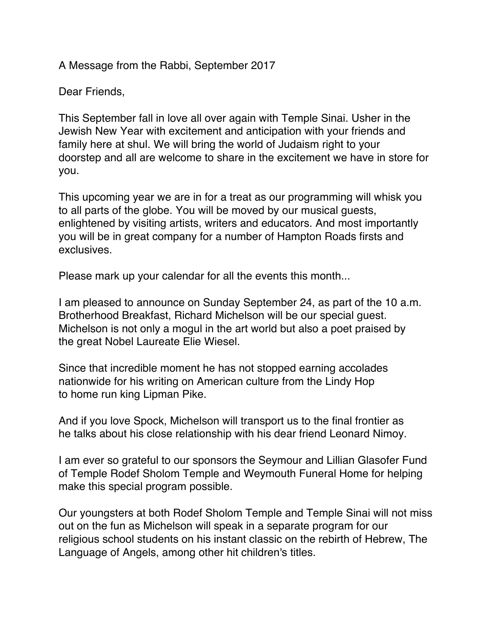A Message from the Rabbi, September 2017

Dear Friends,

This September fall in love all over again with Temple Sinai. Usher in the Jewish New Year with excitement and anticipation with your friends and family here at shul. We will bring the world of Judaism right to your doorstep and all are welcome to share in the excitement we have in store for you.

This upcoming year we are in for a treat as our programming will whisk you to all parts of the globe. You will be moved by our musical guests, enlightened by visiting artists, writers and educators. And most importantly you will be in great company for a number of Hampton Roads firsts and exclusives.

Please mark up your calendar for all the events this month...

I am pleased to announce on Sunday September 24, as part of the 10 a.m. Brotherhood Breakfast, Richard Michelson will be our special guest. Michelson is not only a mogul in the art world but also a poet praised by the great Nobel Laureate Elie Wiesel.

Since that incredible moment he has not stopped earning accolades nationwide for his writing on American culture from the Lindy Hop to home run king Lipman Pike.

And if you love Spock, Michelson will transport us to the final frontier as he talks about his close relationship with his dear friend Leonard Nimoy.

I am ever so grateful to our sponsors the Seymour and Lillian Glasofer Fund of Temple Rodef Sholom Temple and Weymouth Funeral Home for helping make this special program possible.

Our youngsters at both Rodef Sholom Temple and Temple Sinai will not miss out on the fun as Michelson will speak in a separate program for our religious school students on his instant classic on the rebirth of Hebrew, The Language of Angels, among other hit children's titles.